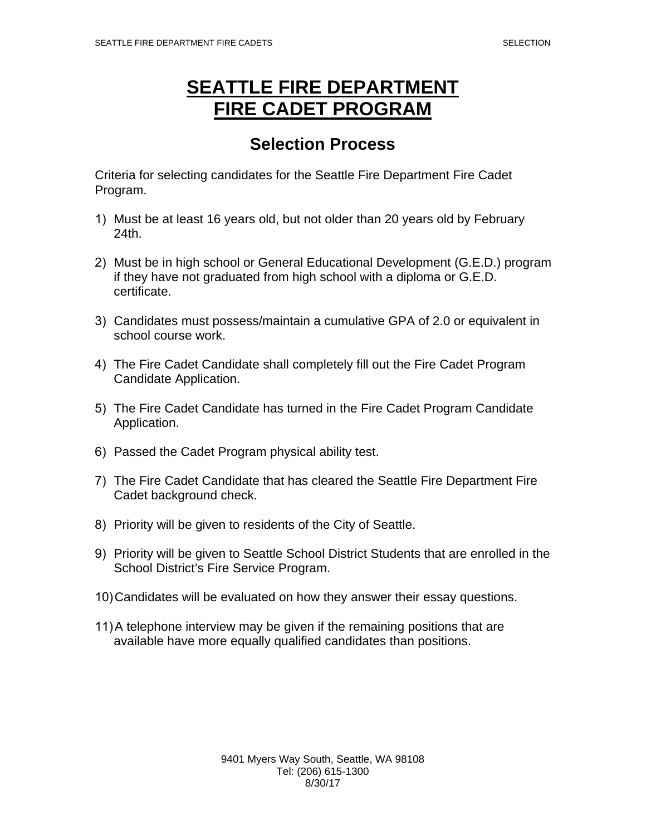## **SEATTLE FIRE DEPARTMENT FIRE CADET PROGRAM**

## **Selection Process**

Criteria for selecting candidates for the Seattle Fire Department Fire Cadet Program.

- 1) Must be at least 16 years old, but not older than 20 years old by February 24th.
- 2) Must be in high school or General Educational Development (G.E.D.) program if they have not graduated from high school with a diploma or G.E.D. certificate.
- 3) Candidates must possess/maintain a cumulative GPA of 2.0 or equivalent in school course work.
- 4) The Fire Cadet Candidate shall completely fill out the Fire Cadet Program Candidate Application.
- 5) The Fire Cadet Candidate has turned in the Fire Cadet Program Candidate Application.
- 6) Passed the Cadet Program physical ability test.
- 7) The Fire Cadet Candidate that has cleared the Seattle Fire Department Fire Cadet background check.
- 8) Priority will be given to residents of the City of Seattle.
- 9) Priority will be given to Seattle School District Students that are enrolled in the School District's Fire Service Program.
- 10)Candidates will be evaluated on how they answer their essay questions.
- 11)A telephone interview may be given if the remaining positions that are available have more equally qualified candidates than positions.